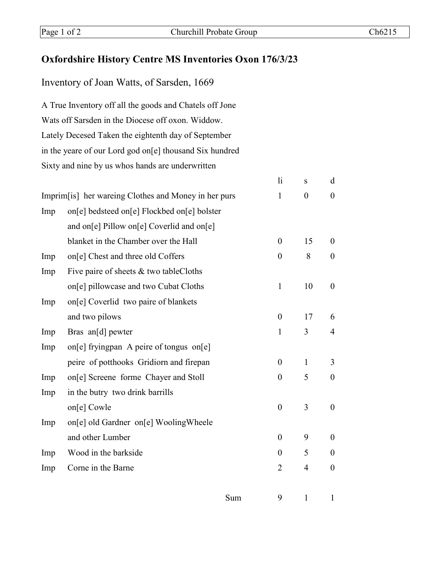## **Oxfordshire History Centre MS Inventories Oxon 176/3/23**

Inventory of Joan Watts, of Sarsden, 1669

A True Inventory off all the goods and Chatels off Jone Wats off Sarsden in the Diocese off oxon. Widdow. Lately Decesed Taken the eightenth day of September in the yeare of our Lord god on[e] thousand Six hundred Sixty and nine by us whos hands are underwritten

|                                                      |                                               |              | $\mathop{\rm li}\nolimits$ | S              | d                |
|------------------------------------------------------|-----------------------------------------------|--------------|----------------------------|----------------|------------------|
| Imprim[is] her wareing Clothes and Money in her purs |                                               | $\mathbf{1}$ | $\boldsymbol{0}$           | $\overline{0}$ |                  |
| Imp                                                  | on[e] bedsteed on[e] Flockbed on[e] bolster   |              |                            |                |                  |
|                                                      | and on[e] Pillow on[e] Coverlid and on[e]     |              |                            |                |                  |
|                                                      | blanket in the Chamber over the Hall          |              | $\boldsymbol{0}$           | 15             | $\boldsymbol{0}$ |
| Imp                                                  | on <sup>[e]</sup> Chest and three old Coffers |              | $\theta$                   | 8              | $\theta$         |
| Imp                                                  | Five paire of sheets & two tableCloths        |              |                            |                |                  |
|                                                      | on[e] pillowcase and two Cubat Cloths         |              | $\mathbf{1}$               | 10             | $\theta$         |
| Imp                                                  | on[e] Coverlid two paire of blankets          |              |                            |                |                  |
|                                                      | and two pilows                                |              | $\boldsymbol{0}$           | 17             | 6                |
| Imp                                                  | Bras an[d] pewter                             |              | $\mathbf{1}$               | 3              | 4                |
| Imp                                                  | on[e] fryingpan A peire of tongus on[e]       |              |                            |                |                  |
|                                                      | peire of potthooks Gridiorn and firepan       |              | $\boldsymbol{0}$           | $\mathbf{1}$   | 3                |
| Imp                                                  | on[e] Screene forme Chayer and Stoll          |              | $\boldsymbol{0}$           | 5              | $\boldsymbol{0}$ |
| Imp                                                  | in the butry two drink barrills               |              |                            |                |                  |
|                                                      | on[e] Cowle                                   |              | $\boldsymbol{0}$           | 3              | $\overline{0}$   |
| Imp                                                  | on[e] old Gardner on[e] WoolingWheele         |              |                            |                |                  |
|                                                      | and other Lumber                              |              | $\overline{0}$             | 9              | $\overline{0}$   |
| Imp                                                  | Wood in the barkside                          |              | $\theta$                   | 5              | $\theta$         |
| Imp                                                  | Corne in the Barne                            |              | 2                          | $\overline{4}$ | $\theta$         |
|                                                      |                                               |              |                            |                |                  |
|                                                      |                                               | Sum          | 9                          | 1              | 1                |